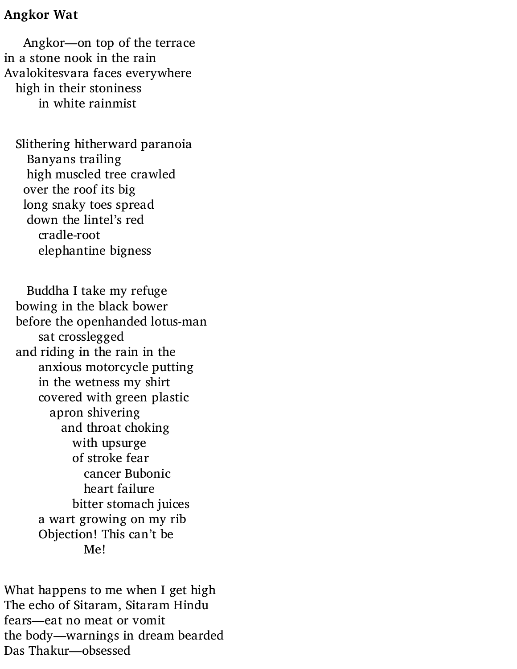## **Angkor Wat**

Angkor—on top of the terrace in a stone nook in the rain Avalokitesvara faces everywhere high in their stoniness in white rainmist

Slithering hitherward paranoia Banyans trailing high muscled tree crawled over the roof its big long snaky toes spread down the lintel's red cradle-root elephantine bigness

Buddha I take my refuge bowing in the black bower before the openhanded lotus-man sat crosslegged and riding in the rain in the anxious motorcycle putting in the wetness my shirt covered with green plastic apron shivering and throat choking with upsurge of stroke fear cancer Bubonic heart failure bitter stomach juices a wart growing on my rib Objection! This can't be Me!

What happens to me when I get high The echo of Sitaram, Sitaram Hindu fears—eat no meat or vomit the body—warnings in dream bearded Das Thakur—obsessed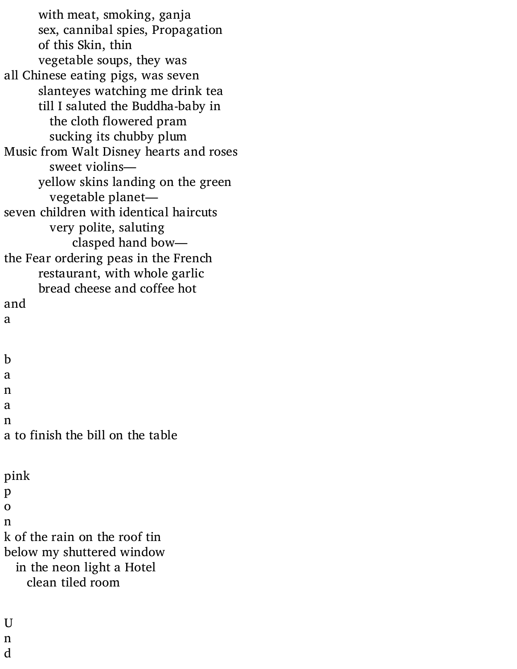with meat, smoking, ganja sex, cannibal spies, Propagation of this Skin, thin vegetable soups, they was all Chinese eating pigs, was seven slanteyes watching me drink tea till I saluted the Buddha-baby in the cloth flowered pram sucking its chubby plum Music from Walt Disney hearts and roses sweet violins yellow skins landing on the green vegetable planet seven children with identical haircuts very polite, saluting clasped hand bow the Fear ordering peas in the French restaurant, with whole garlic bread cheese and coffee hot and a b a n a n a to finish the bill on the table pink p o n k of the rain on the roof tin below my shuttered window in the neon light a Hotel clean tiled room

U

n d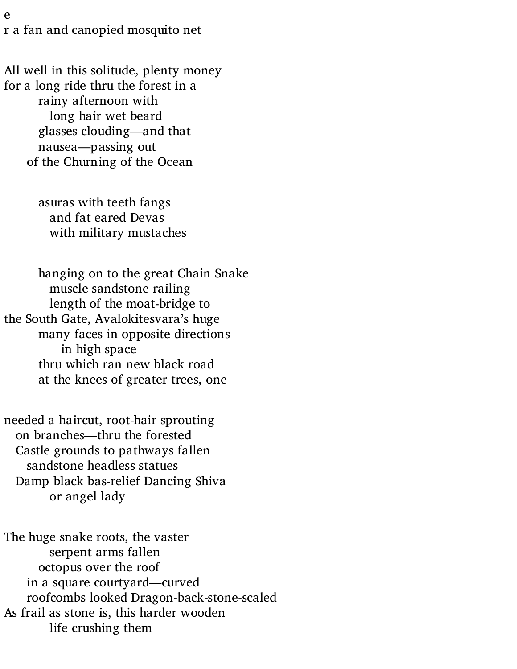e r a fan and canopied mosquito net

All well in this solitude, plenty money for a long ride thru the forest in a rainy afternoon with long hair wet beard glasses clouding—and that nausea—passing out of the Churning of the Ocean

> asuras with teeth fangs and fat eared Devas with military mustaches

hanging on to the great Chain Snake muscle sandstone railing length of the moat-bridge to the South Gate, Avalokitesvara's huge many faces in opposite directions in high space thru which ran new black road at the knees of greater trees, one

needed a haircut, root-hair sprouting on branches—thru the forested Castle grounds to pathways fallen sandstone headless statues Damp black bas-relief Dancing Shiva or angel lady

The huge snake roots, the vaster serpent arms fallen octopus over the roof in a square courtyard—curved roofcombs looked Dragon-back-stone-scaled As frail as stone is, this harder wooden life crushing them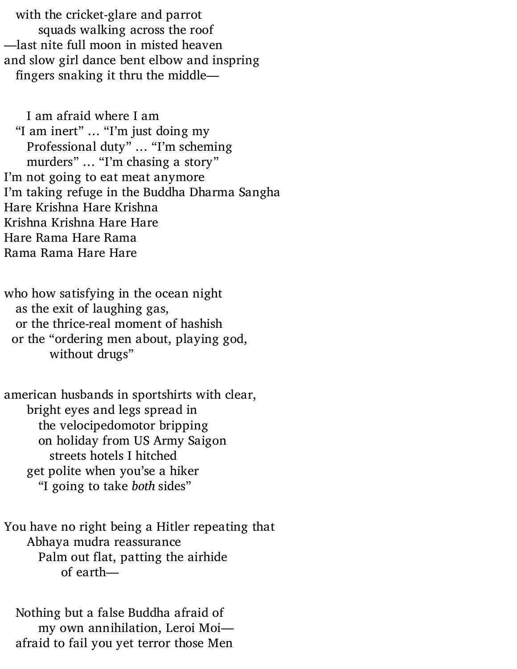with the cricket-glare and parrot squads walking across the roof —last nite full moon in misted heaven and slow girl dance bent elbow and inspring fingers snaking it thru the middle—

I am afraid where I am "I am inert" … "I'm just doing my Professional duty" … "I'm scheming murders" … "I'm chasing a story" I'm not going to eat meat anymore I'm taking refuge in the Buddha Dharma Sangha Hare Krishna Hare Krishna Krishna Krishna Hare Hare Hare Rama Hare Rama Rama Rama Hare Hare

who how satisfying in the ocean night as the exit of laughing gas, or the thrice-real moment of hashish or the "ordering men about, playing god, without drugs"

american husbands in sportshirts with clear, bright eyes and legs spread in the velocipedomotor bripping on holiday from US Army Saigon streets hotels I hitched get polite when you'se a hiker "I going to take *both* sides"

You have no right being a Hitler repeating that Abhaya mudra reassurance Palm out flat, patting the airhide of earth—

Nothing but a false Buddha afraid of my own annihilation, Leroi Moi afraid to fail you yet terror those Men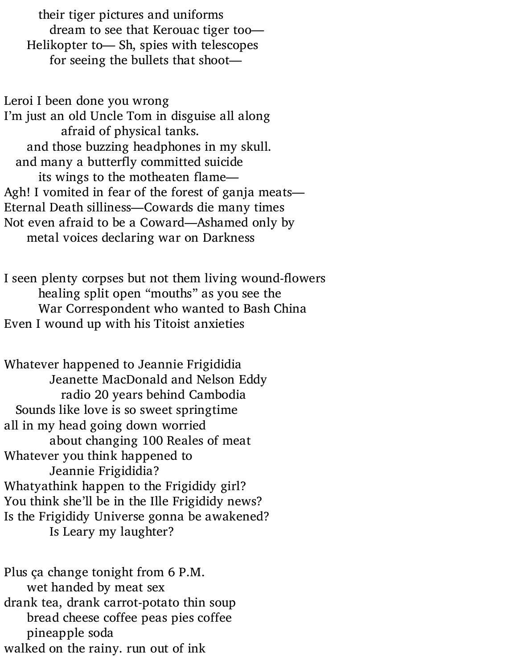their tiger pictures and uniforms dream to see that Kerouac tiger too— Helikopter to— Sh, spies with telescopes for seeing the bullets that shoot—

Leroi I been done you wrong I'm just an old Uncle Tom in disguise all along afraid of physical tanks. and those buzzing headphones in my skull. and many a butterfly committed suicide its wings to the motheaten flame— Agh! I vomited in fear of the forest of ganja meats— Eternal Death silliness—Cowards die many times Not even afraid to be a Coward—Ashamed only by metal voices declaring war on Darkness

I seen plenty corpses but not them living wound-flowers healing split open "mouths" as you see the War Correspondent who wanted to Bash China Even I wound up with his Titoist anxieties

Whatever happened to Jeannie Frigididia Jeanette MacDonald and Nelson Eddy radio 20 years behind Cambodia Sounds like love is so sweet springtime all in my head going down worried about changing 100 Reales of meat Whatever you think happened to Jeannie Frigididia? Whatyathink happen to the Frigididy girl? You think she'll be in the Ille Frigididy news? Is the Frigididy Universe gonna be awakened? Is Leary my laughter?

Plus ça change tonight from 6 P.M. wet handed by meat sex drank tea, drank carrot-potato thin soup bread cheese coffee peas pies coffee pineapple soda walked on the rainy. run out of ink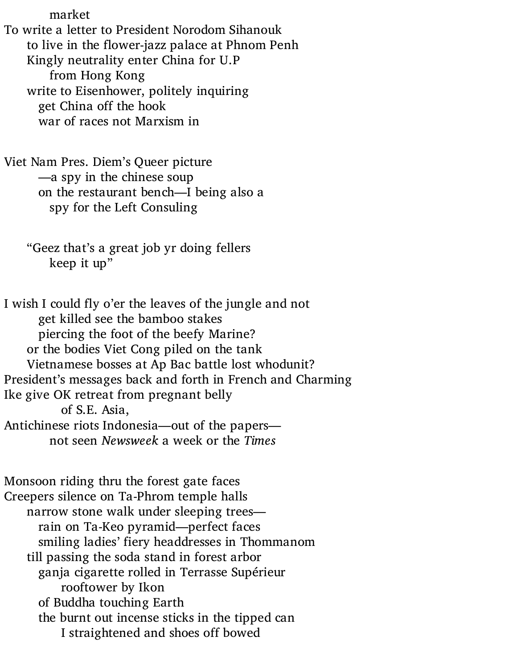market To write a letter to President Norodom Sihanouk to live in the flower-jazz palace at Phnom Penh Kingly neutrality enter China for U.P from Hong Kong write to Eisenhower, politely inquiring get China off the hook war of races not Marxism in

Viet Nam Pres. Diem's Queer picture —a spy in the chinese soup on the restaurant bench—I being also a spy for the Left Consuling

"Geez that's a great job yr doing fellers keep it up"

I wish I could fly o'er the leaves of the jungle and not get killed see the bamboo stakes piercing the foot of the beefy Marine? or the bodies Viet Cong piled on the tank Vietnamese bosses at Ap Bac battle lost whodunit? President's messages back and forth in French and Charming Ike give OK retreat from pregnant belly of S.E. Asia, Antichinese riots Indonesia—out of the papers not seen *Newsweek* a week or the *Times*

Monsoon riding thru the forest gate faces Creepers silence on Ta-Phrom temple halls narrow stone walk under sleeping trees rain on Ta-Keo pyramid—perfect faces smiling ladies' fiery headdresses in Thommanom till passing the soda stand in forest arbor ganja cigarette rolled in Terrasse Supérieur rooftower by Ikon of Buddha touching Earth the burnt out incense sticks in the tipped can I straightened and shoes off bowed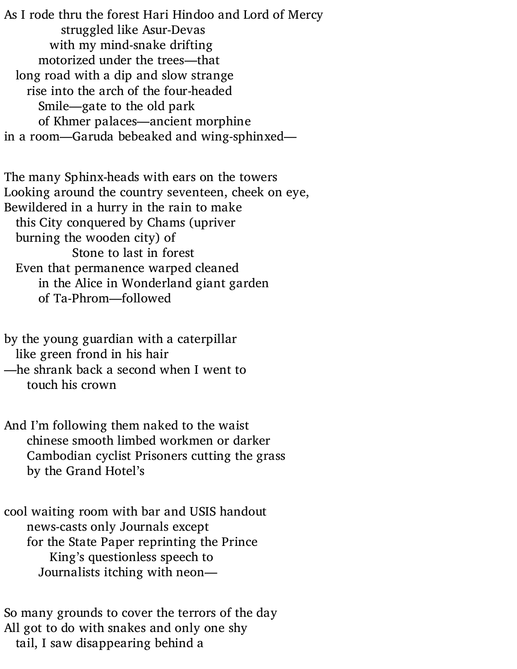As I rode thru the forest Hari Hindoo and Lord of Mercy struggled like Asur-Devas with my mind-snake drifting motorized under the trees—that long road with a dip and slow strange rise into the arch of the four-headed Smile—gate to the old park of Khmer palaces—ancient morphine in a room—Garuda bebeaked and wing-sphinxed—

The many Sphinx-heads with ears on the towers Looking around the country seventeen, cheek on eye, Bewildered in a hurry in the rain to make this City conquered by Chams (upriver burning the wooden city) of Stone to last in forest Even that permanence warped cleaned in the Alice in Wonderland giant garden of Ta-Phrom—followed

by the young guardian with a caterpillar like green frond in his hair —he shrank back a second when I went to

touch his crown

And I'm following them naked to the waist chinese smooth limbed workmen or darker Cambodian cyclist Prisoners cutting the grass by the Grand Hotel's

cool waiting room with bar and USIS handout news-casts only Journals except for the State Paper reprinting the Prince King's questionless speech to Journalists itching with neon—

So many grounds to cover the terrors of the day All got to do with snakes and only one shy tail, I saw disappearing behind a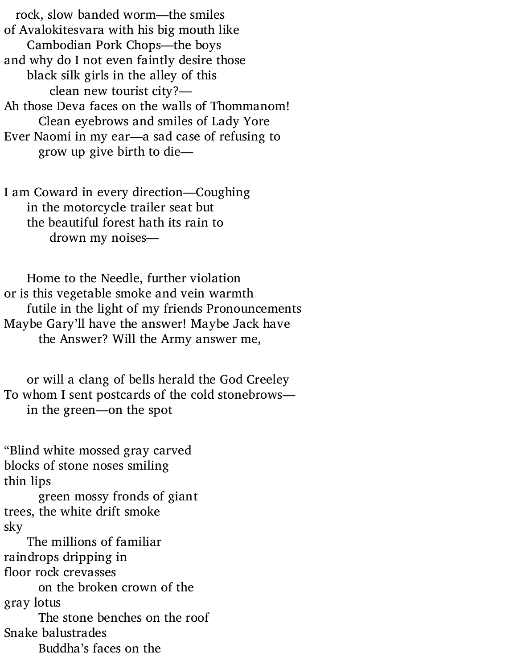rock, slow banded worm—the smiles of Avalokitesvara with his big mouth like Cambodian Pork Chops—the boys and why do I not even faintly desire those black silk girls in the alley of this clean new tourist city?— Ah those Deva faces on the walls of Thommanom! Clean eyebrows and smiles of Lady Yore Ever Naomi in my ear—a sad case of refusing to grow up give birth to die—

I am Coward in every direction—Coughing in the motorcycle trailer seat but the beautiful forest hath its rain to drown my noises—

Home to the Needle, further violation or is this vegetable smoke and vein warmth futile in the light of my friends Pronouncements Maybe Gary'll have the answer! Maybe Jack have the Answer? Will the Army answer me,

or will a clang of bells herald the God Creeley To whom I sent postcards of the cold stonebrows in the green—on the spot

"Blind white mossed gray carved blocks of stone noses smiling thin lips

green mossy fronds of giant trees, the white drift smoke sky

The millions of familiar raindrops dripping in floor rock crevasses on the broken crown of the gray lotus The stone benches on the roof Snake balustrades Buddha's faces on the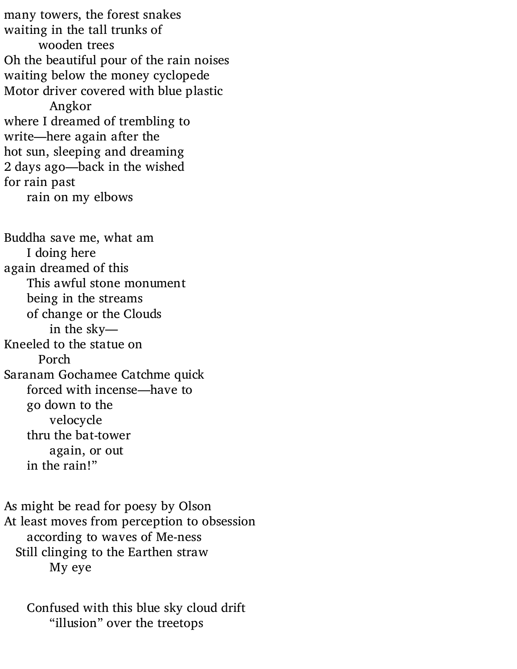many towers, the forest snakes waiting in the tall trunks of wooden trees Oh the beautiful pour of the rain noises waiting below the money cyclopede Motor driver covered with blue plastic Angkor where I dreamed of trembling to write—here again after the hot sun, sleeping and dreaming 2 days ago—back in the wished for rain past rain on my elbows

Buddha save me, what am I doing here again dreamed of this This awful stone monument being in the streams of change or the Clouds in the sky— Kneeled to the statue on Porch Saranam Gochamee Catchme quick forced with incense—have to go down to the velocycle thru the bat-tower again, or out in the rain!"

As might be read for poesy by Olson At least moves from perception to obsession according to waves of Me-ness Still clinging to the Earthen straw My eye

Confused with this blue sky cloud drift "illusion" over the treetops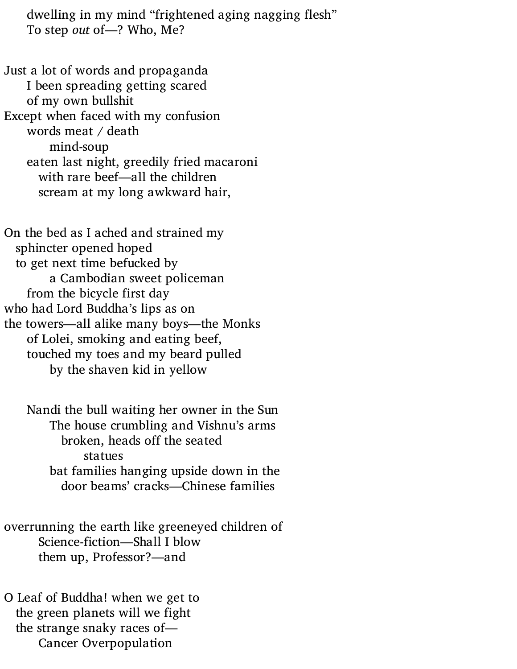dwelling in my mind "frightened aging nagging flesh" To step *out* of—? Who, Me?

Just a lot of words and propaganda I been spreading getting scared of my own bullshit Except when faced with my confusion words meat / death mind-soup eaten last night, greedily fried macaroni with rare beef—all the children scream at my long awkward hair,

On the bed as I ached and strained my sphincter opened hoped to get next time befucked by a Cambodian sweet policeman from the bicycle first day who had Lord Buddha's lips as on the towers—all alike many boys—the Monks of Lolei, smoking and eating beef, touched my toes and my beard pulled by the shaven kid in yellow

Nandi the bull waiting her owner in the Sun The house crumbling and Vishnu's arms broken, heads off the seated statues bat families hanging upside down in the door beams' cracks—Chinese families

overrunning the earth like greeneyed children of Science-fiction—Shall I blow them up, Professor?—and

O Leaf of Buddha! when we get to the green planets will we fight the strange snaky races of— Cancer Overpopulation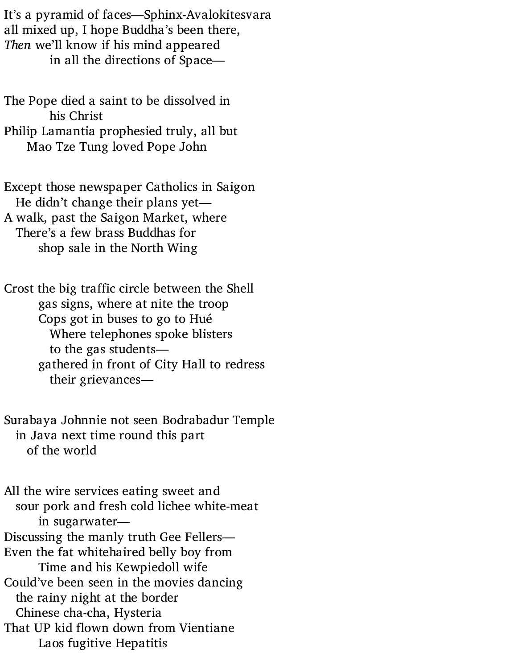It's a pyramid of faces—Sphinx-Avalokitesvara all mixed up, I hope Buddha's been there, *Then* we'll know if his mind appeared in all the directions of Space—

The Pope died a saint to be dissolved in his Christ Philip Lamantia prophesied truly, all but Mao Tze Tung loved Pope John

Except those newspaper Catholics in Saigon He didn't change their plans yet—

A walk, past the Saigon Market, where There's a few brass Buddhas for shop sale in the North Wing

Crost the big traffic circle between the Shell gas signs, where at nite the troop Cops got in buses to go to Hué Where telephones spoke blisters to the gas students gathered in front of City Hall to redress their grievances—

Surabaya Johnnie not seen Bodrabadur Temple in Java next time round this part of the world

All the wire services eating sweet and sour pork and fresh cold lichee white-meat in sugarwater— Discussing the manly truth Gee Fellers— Even the fat whitehaired belly boy from Time and his Kewpiedoll wife Could've been seen in the movies dancing the rainy night at the border Chinese cha-cha, Hysteria That UP kid flown down from Vientiane Laos fugitive Hepatitis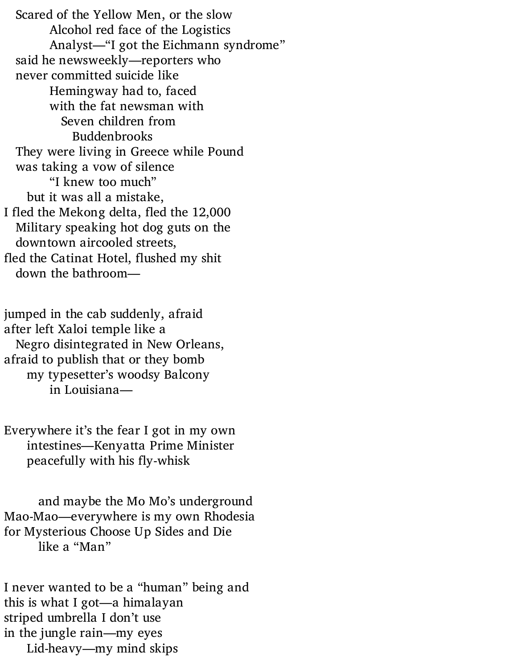Scared of the Yellow Men, or the slow Alcohol red face of the Logistics Analyst—"I got the Eichmann syndrome" said he newsweekly—reporters who never committed suicide like Hemingway had to, faced with the fat newsman with Seven children from Buddenbrooks They were living in Greece while Pound was taking a vow of silence "I knew too much" but it was all a mistake, I fled the Mekong delta, fled the 12,000 Military speaking hot dog guts on the downtown aircooled streets, fled the Catinat Hotel, flushed my shit down the bathroom—

jumped in the cab suddenly, afraid after left Xaloi temple like a Negro disintegrated in New Orleans, afraid to publish that or they bomb my typesetter's woodsy Balcony in Louisiana—

Everywhere it's the fear I got in my own intestines—Kenyatta Prime Minister peacefully with his fly-whisk

and maybe the Mo Mo's underground Mao-Mao—everywhere is my own Rhodesia for Mysterious Choose Up Sides and Die like a "Man"

I never wanted to be a "human" being and this is what I got—a himalayan striped umbrella I don't use in the jungle rain—my eyes Lid-heavy—my mind skips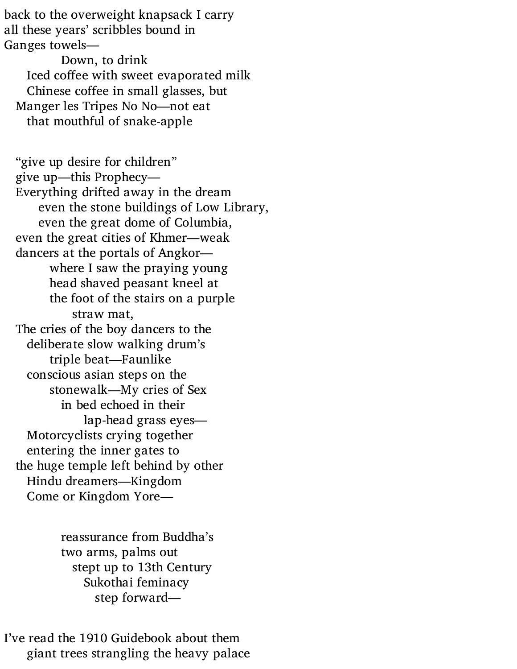back to the overweight knapsack I carry all these years' scribbles bound in Ganges towels—

Down, to drink Iced coffee with sweet evaporated milk Chinese coffee in small glasses, but Manger les Tripes No No—not eat that mouthful of snake-apple

"give up desire for children" give up—this Prophecy— Everything drifted away in the dream even the stone buildings of Low Library, even the great dome of Columbia, even the great cities of Khmer—weak dancers at the portals of Angkor where I saw the praying young head shaved peasant kneel at the foot of the stairs on a purple straw mat, The cries of the boy dancers to the deliberate slow walking drum's triple beat—Faunlike conscious asian steps on the stonewalk—My cries of Sex in bed echoed in their lap-head grass eyes— Motorcyclists crying together entering the inner gates to the huge temple left behind by other Hindu dreamers—Kingdom Come or Kingdom Yore—

> reassurance from Buddha's two arms, palms out stept up to 13th Century Sukothai feminacy step forward—

I've read the 1910 Guidebook about them giant trees strangling the heavy palace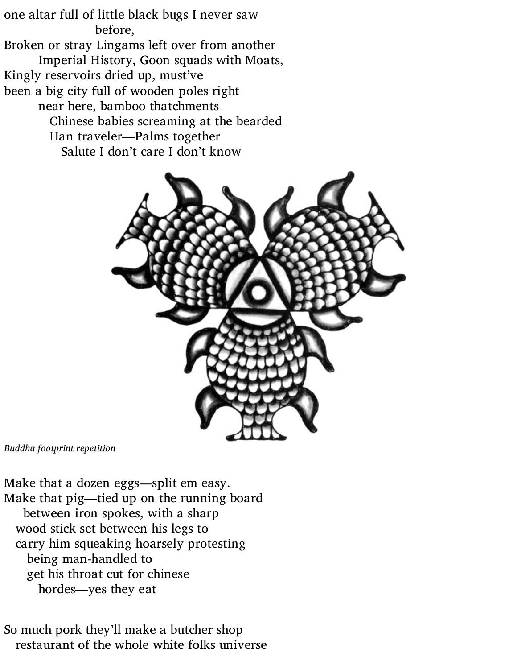one altar full of little black bugs I never saw before, Broken or stray Lingams left over from another Imperial History, Goon squads with Moats, Kingly reservoirs dried up, must've been a big city full of wooden poles right near here, bamboo thatchments Chinese babies screaming at the bearded Han traveler—Palms together Salute I don't care I don't know



*Buddha footprint repetition*

Make that a dozen eggs—split em easy. Make that pig—tied up on the running board between iron spokes, with a sharp wood stick set between his legs to carry him squeaking hoarsely protesting being man-handled to get his throat cut for chinese hordes—yes they eat

So much pork they'll make a butcher shop restaurant of the whole white folks universe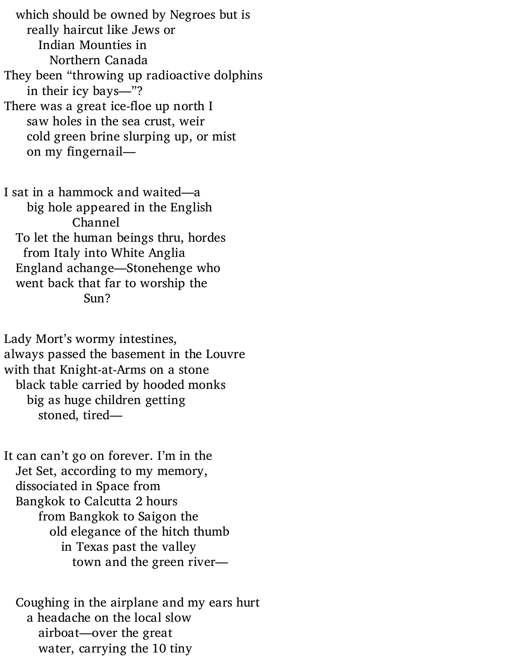which should be owned by Negroes but is really haircut like Jews or Indian Mounties in Northern Canada They been "throwing up radioactive dolphins in their icy bays—"? There was a great ice-floe up north I saw holes in the sea crust, weir cold green brine slurping up, or mist on my fingernail—

I sat in a hammock and waited—a

big hole appeared in the English Channel To let the human beings thru, hordes from Italy into White Anglia England achange—Stonehenge who went back that far to worship the Sun?

Lady Mort's wormy intestines, always passed the basement in the Louvre with that Knight-at-Arms on a stone black table carried by hooded monks big as huge children getting stoned, tired—

It can can't go on forever. I'm in the Jet Set, according to my memory, dissociated in Space from Bangkok to Calcutta 2 hours from Bangkok to Saigon the old elegance of the hitch thumb in Texas past the valley town and the green river—

Coughing in the airplane and my ears hurt a headache on the local slow airboat—over the great water, carrying the 10 tiny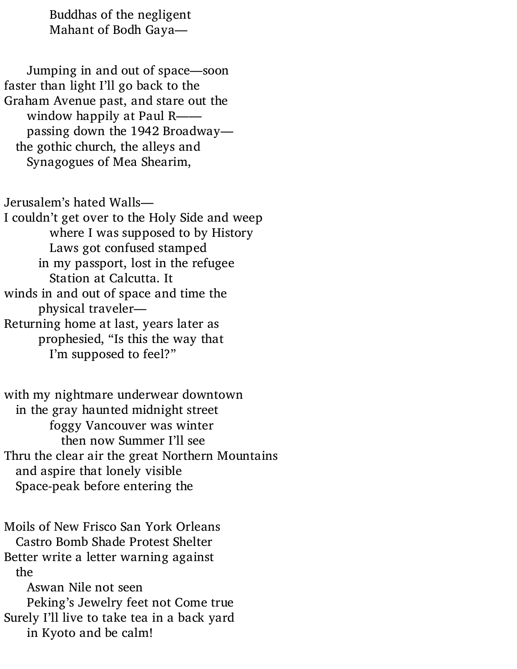Buddhas of the negligent Mahant of Bodh Gaya—

Jumping in and out of space—soon faster than light I'll go back to the Graham Avenue past, and stare out the window happily at Paul Rpassing down the 1942 Broadway the gothic church, the alleys and Synagogues of Mea Shearim,

Jerusalem's hated Walls— I couldn't get over to the Holy Side and weep where I was supposed to by History Laws got confused stamped in my passport, lost in the refugee Station at Calcutta. It winds in and out of space and time the physical traveler— Returning home at last, years later as prophesied, "Is this the way that I'm supposed to feel?"

with my nightmare underwear downtown in the gray haunted midnight street foggy Vancouver was winter then now Summer I'll see Thru the clear air the great Northern Mountains and aspire that lonely visible Space-peak before entering the

Moils of New Frisco San York Orleans Castro Bomb Shade Protest Shelter Better write a letter warning against the Aswan Nile not seen Peking's Jewelry feet not Come true Surely I'll live to take tea in a back yard

in Kyoto and be calm!